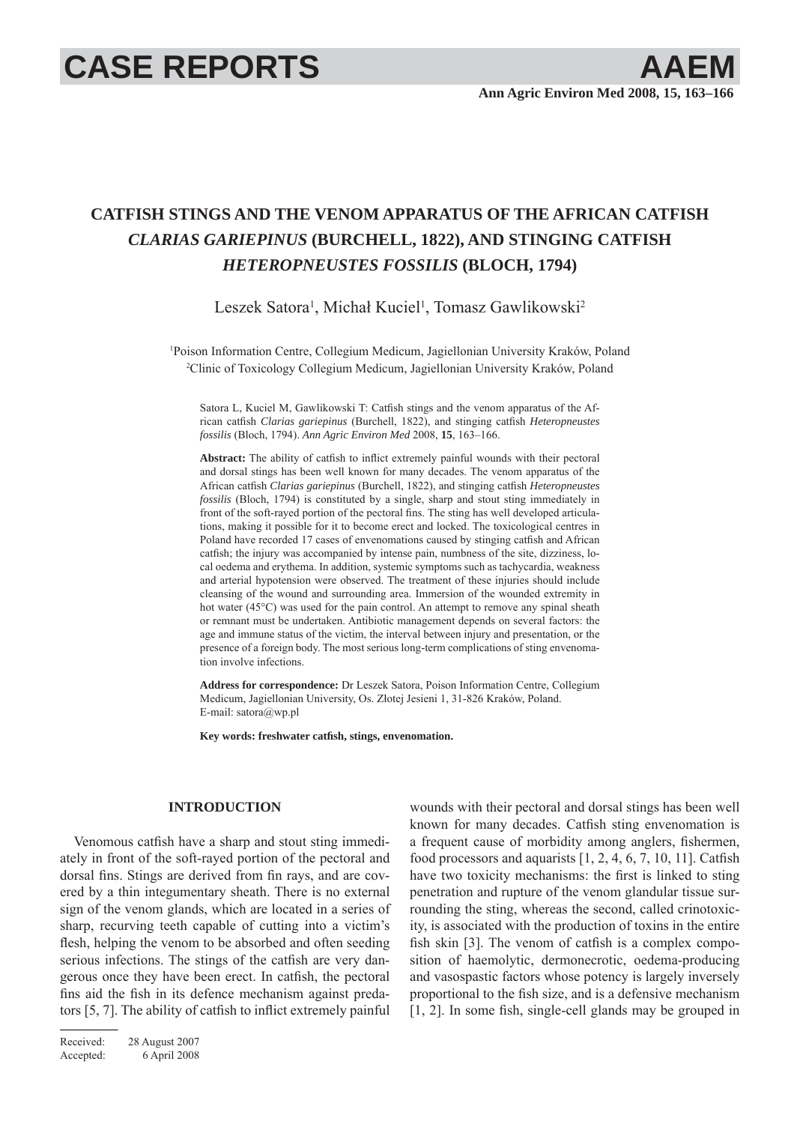# **CASE REPORTS AAEM**

## **CATFISH STINGS AND THE VENOM APPARATUS OF THE AFRICAN CATFISH**  *CLARIAS GARIEPINUS* **(BURCHELL, 1822), AND STINGING CATFISH**  *HETEROPNEUSTES FOSSILIS* **(BLOCH, 1794)**

Leszek Satora<sup>1</sup>, Michał Kuciel<sup>1</sup>, Tomasz Gawlikowski<sup>2</sup>

1 Poison Information Centre, Collegium Medicum, Jagiellonian University Kraków, Poland 2 Clinic of Toxicology Collegium Medicum, Jagiellonian University Kraków, Poland

Satora L, Kuciel M, Gawlikowski T: Catfish stings and the venom apparatus of the African catfish *Clarias gariepinus* (Burchell, 1822), and stinging catfish *Heteropneustes fossilis* (Bloch, 1794). *Ann Agric Environ Med* 2008, **15**, 163–166.

Abstract: The ability of catfish to inflict extremely painful wounds with their pectoral and dorsal stings has been well known for many decades. The venom apparatus of the African catfish *Clarias gariepinus* (Burchell, 1822), and stinging catfish *Heteropneustes fossilis* (Bloch, 1794) is constituted by a single, sharp and stout sting immediately in front of the soft-rayed portion of the pectoral fins. The sting has well developed articulations, making it possible for it to become erect and locked. The toxicological centres in Poland have recorded 17 cases of envenomations caused by stinging catfish and African catfish; the injury was accompanied by intense pain, numbness of the site, dizziness, local oedema and erythema. In addition, systemic symptoms such as tachycardia, weakness and arterial hypotension were observed. The treatment of these injuries should include cleansing of the wound and surrounding area. Immersion of the wounded extremity in hot water (45<sup>o</sup>C) was used for the pain control. An attempt to remove any spinal sheath or remnant must be undertaken. Antibiotic management depends on several factors: the age and immune status of the victim, the interval between injury and presentation, or the presence of a foreign body. The most serious long-term complications of sting envenomation involve infections.

**Address for correspondence:** Dr Leszek Satora, Poison Information Centre, Collegium Medicum, Jagiellonian University, Os. Złotej Jesieni 1, 31-826 Kraków, Poland. E-mail: satora@wp.pl

Key words: freshwater catfish, stings, envenomation.

### **INTRODUCTION**

Venomous catfish have a sharp and stout sting immediately in front of the soft-rayed portion of the pectoral and dorsal fins. Stings are derived from fin rays, and are covered by a thin integumentary sheath. There is no external sign of the venom glands, which are located in a series of sharp, recurving teeth capable of cutting into a victim's flesh, helping the venom to be absorbed and often seeding serious infections. The stings of the catfish are very dangerous once they have been erect. In catfish, the pectoral fins aid the fish in its defence mechanism against predators  $[5, 7]$ . The ability of catfish to inflict extremely painful

Received: 28 August 2007 Accepted: 6 April 2008

wounds with their pectoral and dorsal stings has been well known for many decades. Catfish sting envenomation is a frequent cause of morbidity among anglers, fishermen, food processors and aquarists  $[1, 2, 4, 6, 7, 10, 11]$ . Catfish have two toxicity mechanisms: the first is linked to sting penetration and rupture of the venom glandular tissue surrounding the sting, whereas the second, called crinotoxicity, is associated with the production of toxins in the entire fish skin [3]. The venom of catfish is a complex composition of haemolytic, dermonecrotic, oedema-producing and vasospastic factors whose potency is largely inversely proportional to the fish size, and is a defensive mechanism  $[1, 2]$ . In some fish, single-cell glands may be grouped in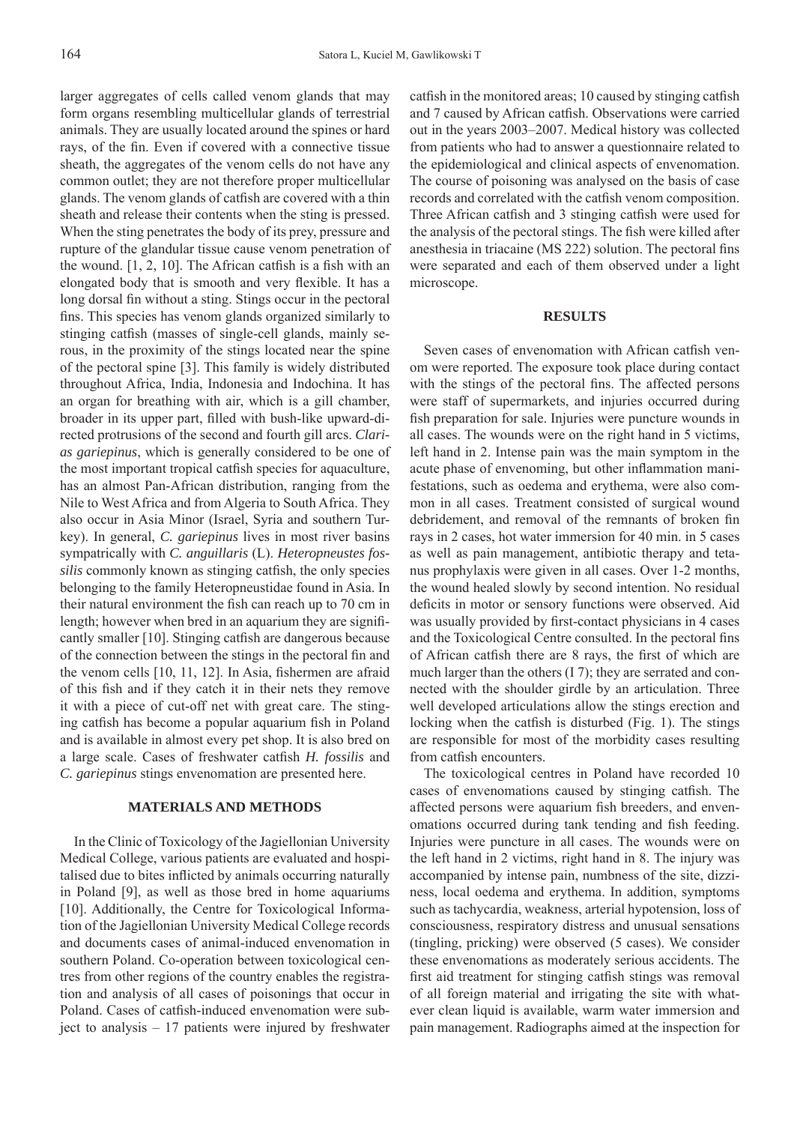larger aggregates of cells called venom glands that may form organs resembling multicellular glands of terrestrial animals. They are usually located around the spines or hard rays, of the fin. Even if covered with a connective tissue sheath, the aggregates of the venom cells do not have any common outlet; they are not therefore proper multicellular glands. The venom glands of catfish are covered with a thin sheath and release their contents when the sting is pressed. When the sting penetrates the body of its prey, pressure and rupture of the glandular tissue cause venom penetration of the wound.  $[1, 2, 10]$ . The African catfish is a fish with an elongated body that is smooth and very flexible. It has a long dorsal fin without a sting. Stings occur in the pectoral fins. This species has venom glands organized similarly to stinging catfish (masses of single-cell glands, mainly serous, in the proximity of the stings located near the spine of the pectoral spine [3]. This family is widely distributed throughout Africa, India, Indonesia and Indochina. It has an organ for breathing with air, which is a gill chamber, broader in its upper part, filled with bush-like upward-directed protrusions of the second and fourth gill arcs. *Clarias gariepinus*, which is generally considered to be one of the most important tropical catfish species for aquaculture, has an almost Pan-African distribution, ranging from the Nile to West Africa and from Algeria to South Africa. They also occur in Asia Minor (Israel, Syria and southern Turkey). In general, *C. gariepinus* lives in most river basins sympatrically with *C. anguillaris* (L). *Heteropneustes fossilis* commonly known as stinging catfish, the only species belonging to the family Heteropneustidae found in Asia. In their natural environment the fish can reach up to 70 cm in length; however when bred in an aquarium they are significantly smaller [10]. Stinging catfish are dangerous because of the connection between the stings in the pectoral fin and the venom cells  $[10, 11, 12]$ . In Asia, fishermen are afraid of this fish and if they catch it in their nets they remove it with a piece of cut-off net with great care. The stinging catfish has become a popular aquarium fish in Poland and is available in almost every pet shop. It is also bred on a large scale. Cases of freshwater catfish *H. fossilis* and *C. gariepinus* stings envenomation are presented here.

#### **MATERIALS AND METHODS**

In the Clinic of Toxicology of the Jagiellonian University Medical College, various patients are evaluated and hospitalised due to bites inflicted by animals occurring naturally in Poland [9], as well as those bred in home aquariums [10]. Additionally, the Centre for Toxicological Information of the Jagiellonian University Medical College records and documents cases of animal-induced envenomation in southern Poland. Co-operation between toxicological centres from other regions of the country enables the registration and analysis of all cases of poisonings that occur in Poland. Cases of catfish-induced envenomation were subject to analysis – 17 patients were injured by freshwater catfish in the monitored areas; 10 caused by stinging catfish and 7 caused by African catfish. Observations were carried out in the years 2003–2007. Medical history was collected from patients who had to answer a questionnaire related to the epidemiological and clinical aspects of envenomation. The course of poisoning was analysed on the basis of case records and correlated with the catfish venom composition. Three African catfish and 3 stinging catfish were used for the analysis of the pectoral stings. The fish were killed after anesthesia in triacaine (MS 222) solution. The pectoral fins were separated and each of them observed under a light microscope.

#### **RESULTS**

Seven cases of envenomation with African catfish venom were reported. The exposure took place during contact with the stings of the pectoral fins. The affected persons were staff of supermarkets, and injuries occurred during fish preparation for sale. Injuries were puncture wounds in all cases. The wounds were on the right hand in 5 victims, left hand in 2. Intense pain was the main symptom in the acute phase of envenoming, but other inflammation manifestations, such as oedema and erythema, were also common in all cases. Treatment consisted of surgical wound debridement, and removal of the remnants of broken fin rays in 2 cases, hot water immersion for 40 min. in 5 cases as well as pain management, antibiotic therapy and tetanus prophylaxis were given in all cases. Over 1-2 months, the wound healed slowly by second intention. No residual deficits in motor or sensory functions were observed. Aid was usually provided by first-contact physicians in 4 cases and the Toxicological Centre consulted. In the pectoral fins of African catfish there are 8 rays, the first of which are much larger than the others (I 7); they are serrated and connected with the shoulder girdle by an articulation. Three well developed articulations allow the stings erection and locking when the catfish is disturbed (Fig. 1). The stings are responsible for most of the morbidity cases resulting from catfish encounters.

The toxicological centres in Poland have recorded 10 cases of envenomations caused by stinging catfish. The affected persons were aquarium fish breeders, and envenomations occurred during tank tending and fish feeding. Injuries were puncture in all cases. The wounds were on the left hand in 2 victims, right hand in 8. The injury was accompanied by intense pain, numbness of the site, dizziness, local oedema and erythema. In addition, symptoms such as tachycardia, weakness, arterial hypotension, loss of consciousness, respiratory distress and unusual sensations (tingling, pricking) were observed (5 cases). We consider these envenomations as moderately serious accidents. The first aid treatment for stinging catfish stings was removal of all foreign material and irrigating the site with whatever clean liquid is available, warm water immersion and pain management. Radiographs aimed at the inspection for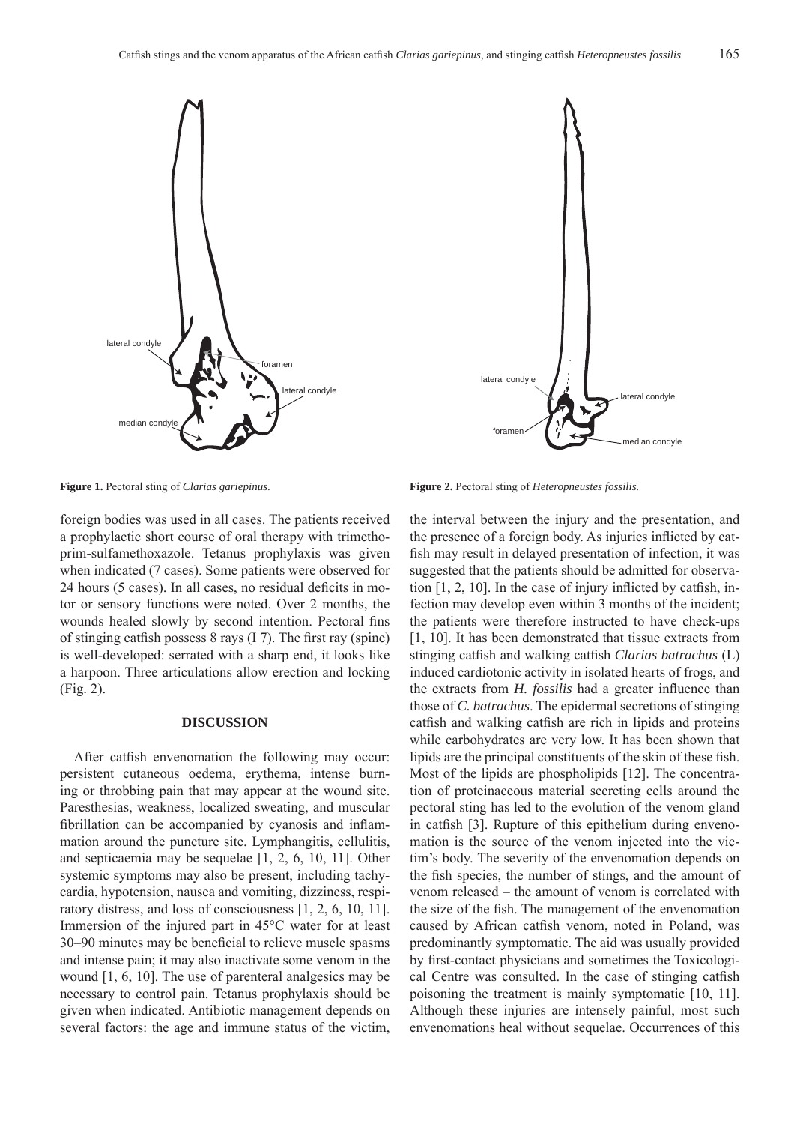



foreign bodies was used in all cases. The patients received a prophylactic short course of oral therapy with trimethoprim-sulfamethoxazole. Tetanus prophylaxis was given when indicated (7 cases). Some patients were observed for 24 hours (5 cases). In all cases, no residual deficits in motor or sensory functions were noted. Over 2 months, the wounds healed slowly by second intention. Pectoral fins of stinging catfish possess  $8 \text{ rays} (17)$ . The first ray (spine) is well-developed: serrated with a sharp end, it looks like a harpoon. Three articulations allow erection and locking (Fig. 2).

#### **DISCUSSION**

After catfish envenomation the following may occur: persistent cutaneous oedema, erythema, intense burning or throbbing pain that may appear at the wound site. Paresthesias, weakness, localized sweating, and muscular fibrillation can be accompanied by cyanosis and inflammation around the puncture site. Lymphangitis, cellulitis, and septicaemia may be sequelae [1, 2, 6, 10, 11]. Other systemic symptoms may also be present, including tachycardia, hypotension, nausea and vomiting, dizziness, respiratory distress, and loss of consciousness [1, 2, 6, 10, 11]. Immersion of the injured part in 45°C water for at least 30–90 minutes may be beneficial to relieve muscle spasms and intense pain; it may also inactivate some venom in the wound [1, 6, 10]. The use of parenteral analgesics may be necessary to control pain. Tetanus prophylaxis should be given when indicated. Antibiotic management depends on several factors: the age and immune status of the victim,

**Figure 1.** Pectoral sting of *Clarias gariepinus*. **Figure 2.** Pectoral sting of *Heteropneustes fossilis.*

the interval between the injury and the presentation, and the presence of a foreign body. As injuries inflicted by catfish may result in delayed presentation of infection, it was suggested that the patients should be admitted for observation  $[1, 2, 10]$ . In the case of injury inflicted by catfish, infection may develop even within 3 months of the incident; the patients were therefore instructed to have check-ups [1, 10]. It has been demonstrated that tissue extracts from stinging catfish and walking catfish *Clarias batrachus* (L) induced cardiotonic activity in isolated hearts of frogs, and the extracts from *H. fossilis* had a greater influence than those of *C. batrachus*. The epidermal secretions of stinging catfish and walking catfish are rich in lipids and proteins while carbohydrates are very low. It has been shown that lipids are the principal constituents of the skin of these fish. Most of the lipids are phospholipids [12]. The concentration of proteinaceous material secreting cells around the pectoral sting has led to the evolution of the venom gland in catfish [3]. Rupture of this epithelium during envenomation is the source of the venom injected into the victim's body. The severity of the envenomation depends on the fish species, the number of stings, and the amount of venom released – the amount of venom is correlated with the size of the fish. The management of the envenomation caused by African catfish venom, noted in Poland, was predominantly symptomatic. The aid was usually provided by first-contact physicians and sometimes the Toxicological Centre was consulted. In the case of stinging catfish poisoning the treatment is mainly symptomatic [10, 11]. Although these injuries are intensely painful, most such envenomations heal without sequelae. Occurrences of this